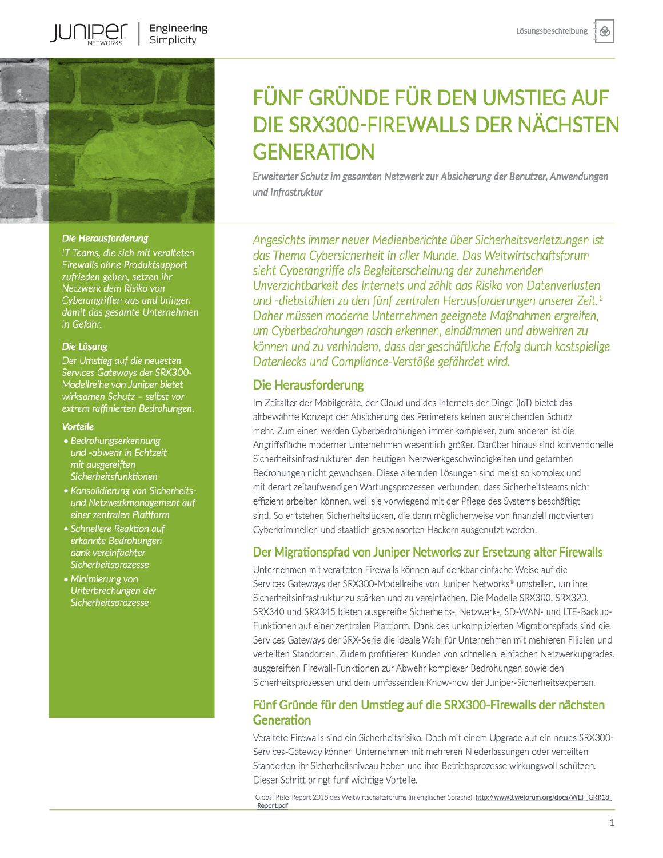⊛



**IUNIPEI** 

#### Die Herausforderung

IT-Teams, die sich mit veralteten **Firewalls ohne Produktsupport** zufrieden geben, setzen ihr Netzwerk dem Risiko von Cyberangriffen aus und bringen damit das gesamte Unternehmen in Gefahr.

#### Die Lösung

Der Umstieg auf die neuesten Services Gateways der SRX300-Modellreihe von Juniper bietet wirksamen Schutz - selbst vor extrem raffinierten Bedrohungen.

#### **Vorteile**

- Bedrohungserkennung und -abwehr in Echtzeit mit ausgereiften Sicherheitsfunktionen
- Konsolidierung von Sicherheitsund Netzwerkmanagement auf einer zentralen Plattform
- Schnellere Reaktion auf erkannte Bedrohungen dank vereinfachter Sicherheitsprozesse
- Minimierung von Unterbrechungen der Sicherheitsprozesse

# FÜNF GRÜNDE FÜR DEN UMSTIEG AUF DIE SRX300-FIREWALLS DER NÄCHSTEN **GENERATION**

Erweiterter Schutz im gesamten Netzwerk zur Absicherung der Benutzer, Anwendungen und Infrastruktur

Angesichts immer neuer Medienberichte über Sicherheitsverletzungen ist das Thema Cybersicherheit in aller Munde. Das Weltwirtschaftsforum sieht Cyberangriffe als Begleiterscheinung der zunehmenden Unverzichtbarkeit des Internets und zählt das Risiko von Datenverlusten und -diebstählen zu den fünf zentralen Herausforderungen unserer Zeit.<sup>1</sup> Daher müssen moderne Unternehmen geeignete Maßnahmen ergreifen, um Cyberbedrohungen rasch erkennen, eindämmen und abwehren zu können und zu verhindern, dass der geschäftliche Erfolg durch kostspielige Datenlecks und Compliance-Verstöße gefährdet wird.

## **Die Herausforderung**

Im Zeitalter der Mobilgeräte, der Cloud und des Internets der Dinge (IoT) bietet das altbewährte Konzept der Absicherung des Perimeters keinen ausreichenden Schutz mehr. Zum einen werden Cyberbedrohungen immer komplexer, zum anderen ist die Angriffsfläche moderner Unternehmen wesentlich größer. Darüber hinaus sind konventionelle Sicherheitsinfrastrukturen den heutigen Netzwerkgeschwindigkeiten und getarnten Bedrohungen nicht gewachsen. Diese alternden Lösungen sind meist so komplex und mit derart zeitaufwendigen Wartungsprozessen verbunden, dass Sicherheitsteams nicht effizient arbeiten können, weil sie vorwiegend mit der Pflege des Systems beschäftigt sind. So entstehen Sicherheitslücken, die dann möglicherweise von finanziell motivierten Cyberkriminellen und staatlich gesponsorten Hackern ausgenutzt werden.

## Der Migrationspfad von Juniper Networks zur Ersetzung alter Firewalls

Unternehmen mit veralteten Firewalls können auf denkbar einfache Weise auf die Services Gateways der SRX300-Modellreihe von Juniper Networks® umstellen, um ihre Sicherheitsinfrastruktur zu stärken und zu vereinfachen. Die Modelle SRX300, SRX320, SRX340 und SRX345 bieten ausgereifte Sicherheits-, Netzwerk-, SD-WAN- und LTE-Backup-Funktionen auf einer zentralen Plattform. Dank des unkomplizierten Migrationspfads sind die Services Gateways der SRX-Serie die ideale Wahl für Unternehmen mit mehreren Filialen und verteilten Standorten. Zudem profitieren Kunden von schnellen, einfachen Netzwerkupgrades, ausgereiften Firewall-Funktionen zur Abwehr komplexer Bedrohungen sowie den Sicherheitsprozessen und dem umfassenden Know-how der Juniper-Sicherheitsexperten.

## Fünf Gründe für den Umstieg auf die SRX300-Firewalls der nächsten Generation

Veraltete Firewalls sind ein Sicherheitsrisiko. Doch mit einem Upgrade auf ein neues SRX300-Services-Gateway können Unternehmen mit mehreren Niederlassungen oder verteilten Standorten ihr Sicherheitsniveau heben und ihre Betriebsprozesse wirkungsvoll schützen. Dieser Schritt bringt fünf wichtige Vorteile.

Global Risks Report 2018 des Weltwirtschaftsforums (in englischer Sprache): <u>http://www3.wef<mark>orum.org/docs/WEF\_GRR18</mark>\_</u> Report.pdf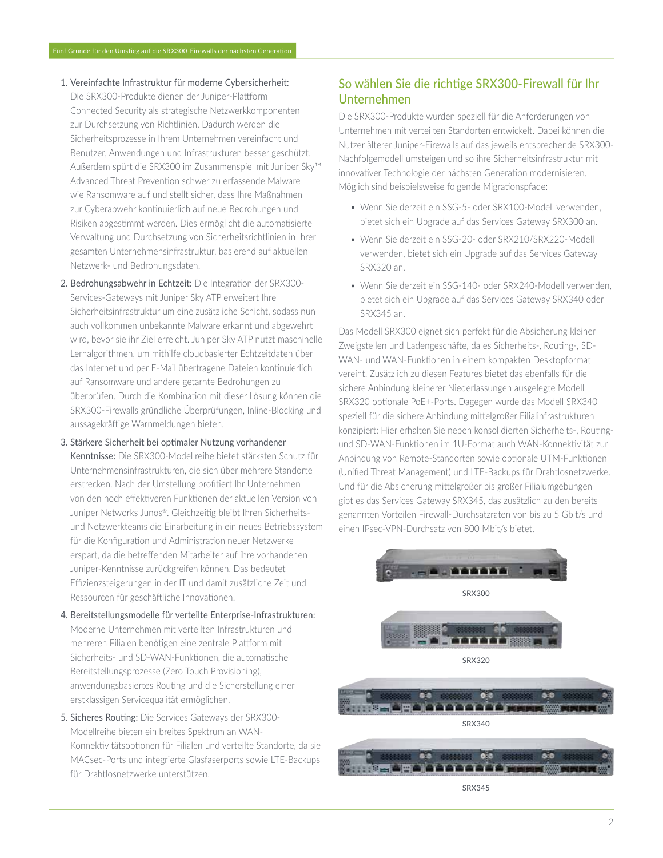- 1. Vereinfachte Infrastruktur für moderne Cybersicherheit: Die SRX300-Produkte dienen der Juniper-Plattform Connected Security als strategische Netzwerkkomponenten zur Durchsetzung von Richtlinien. Dadurch werden die Sicherheitsprozesse in Ihrem Unternehmen vereinfacht und Benutzer, Anwendungen und Infrastrukturen besser geschützt. Außerdem spürt die SRX300 im Zusammenspiel mit Juniper Sky™ Advanced Threat Prevention schwer zu erfassende Malware wie Ransomware auf und stellt sicher, dass Ihre Maßnahmen zur Cyberabwehr kontinuierlich auf neue Bedrohungen und Risiken abgestimmt werden. Dies ermöglicht die automatisierte Verwaltung und Durchsetzung von Sicherheitsrichtlinien in Ihrer gesamten Unternehmensinfrastruktur, basierend auf aktuellen Netzwerk- und Bedrohungsdaten.
- 2. Bedrohungsabwehr in Echtzeit: Die Integration der SRX300-Services-Gateways mit Juniper Sky ATP erweitert Ihre Sicherheitsinfrastruktur um eine zusätzliche Schicht, sodass nun auch vollkommen unbekannte Malware erkannt und abgewehrt wird, bevor sie ihr Ziel erreicht. Juniper Sky ATP nutzt maschinelle Lernalgorithmen, um mithilfe cloudbasierter Echtzeitdaten über das Internet und per E-Mail übertragene Dateien kontinuierlich auf Ransomware und andere getarnte Bedrohungen zu überprüfen. Durch die Kombination mit dieser Lösung können die SRX300-Firewalls gründliche Überprüfungen, Inline-Blocking und aussagekräftige Warnmeldungen bieten.
- 3. Stärkere Sicherheit bei optimaler Nutzung vorhandener Kenntnisse: Die SRX300-Modellreihe bietet stärksten Schutz für Unternehmensinfrastrukturen, die sich über mehrere Standorte erstrecken. Nach der Umstellung profitiert Ihr Unternehmen von den noch effektiveren Funktionen der aktuellen Version von Juniper Networks Junos®. Gleichzeitig bleibt Ihren Sicherheitsund Netzwerkteams die Einarbeitung in ein neues Betriebssystem für die Konfiguration und Administration neuer Netzwerke erspart, da die betreffenden Mitarbeiter auf ihre vorhandenen Juniper-Kenntnisse zurückgreifen können. Das bedeutet Effizienzsteigerungen in der IT und damit zusätzliche Zeit und Ressourcen für geschäftliche Innovationen.
- 4. Bereitstellungsmodelle für verteilte Enterprise-Infrastrukturen: Moderne Unternehmen mit verteilten Infrastrukturen und mehreren Filialen benötigen eine zentrale Plattform mit Sicherheits- und SD-WAN-Funktionen, die automatische Bereitstellungsprozesse (Zero Touch Provisioning), anwendungsbasiertes Routing und die Sicherstellung einer erstklassigen Servicequalität ermöglichen.
- 5. Sicheres Routing: Die Services Gateways der SRX300-Modellreihe bieten ein breites Spektrum an WAN-Konnektivitätsoptionen für Filialen und verteilte Standorte, da sie MACsec-Ports und integrierte Glasfaserports sowie LTE-Backups für Drahtlosnetzwerke unterstützen.

## So wählen Sie die richtige SRX300-Firewall für Ihr Unternehmen

Die SRX300-Produkte wurden speziell für die Anforderungen von Unternehmen mit verteilten Standorten entwickelt. Dabei können die Nutzer älterer Juniper-Firewalls auf das jeweils entsprechende SRX300-Nachfolgemodell umsteigen und so ihre Sicherheitsinfrastruktur mit innovativer Technologie der nächsten Generation modernisieren. Möglich sind beispielsweise folgende Migrationspfade:

- Wenn Sie derzeit ein SSG-5- oder SRX100-Modell verwenden. bietet sich ein Upgrade auf das Services Gateway SRX300 an.
- Wenn Sie derzeit ein SSG-20- oder SRX210/SRX220-Modell verwenden, bietet sich ein Upgrade auf das Services Gateway SRX320 an.
- · Wenn Sie derzeit ein SSG-140- oder SRX240-Modell verwenden, bietet sich ein Upgrade auf das Services Gateway SRX340 oder SRX345 an.

Das Modell SRX300 eignet sich perfekt für die Absicherung kleiner Zweigstellen und Ladengeschäfte, da es Sicherheits-, Routing-, SD-WAN- und WAN-Funktionen in einem kompakten Desktopformat vereint. Zusätzlich zu diesen Features bietet das ebenfalls für die sichere Anbindung kleinerer Niederlassungen ausgelegte Modell SRX320 optionale PoE+-Ports. Dagegen wurde das Modell SRX340 speziell für die sichere Anbindung mittelgroßer Filialinfrastrukturen konzipiert: Hier erhalten Sie neben konsolidierten Sicherheits-, Routingund SD-WAN-Funktionen im 1U-Format auch WAN-Konnektivität zur Anbindung von Remote-Standorten sowie optionale UTM-Funktionen (Unified Threat Management) und LTE-Backups für Drahtlosnetzwerke. Und für die Absicherung mittelgroßer bis großer Filialumgebungen gibt es das Services Gateway SRX345, das zusätzlich zu den bereits genannten Vorteilen Firewall-Durchsatzraten von bis zu 5 Gbit/s und einen IPsec-VPN-Durchsatz von 800 Mbit/s bietet.



SRX345